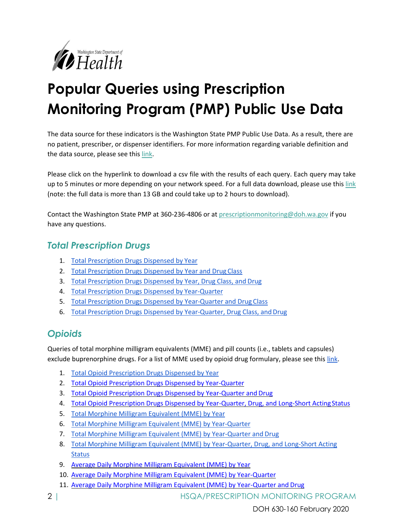

# **Popular Queries using Prescription Monitoring Program (PMP) Public Use Data**

The data source for these indicators is the Washington State PMP Public Use Data. As a result, there are no patient, prescriber, or dispenser identifiers. For more information regarding variable definition and the data source, please see this [link.](https://data.wa.gov/Health/Prescription-Monitoring-Program-PMP-Public-Use-Dat/8y5c-ekcc)

Please click on the hyperlink to download a csv file with the results of each query. Each query may take up to 5 minutes or more depending on your network speed. For a full data download, please use thi[s link](https://data.wa.gov/api/views/8y5c-ekcc/rows.csv?accessType=DOWNLOAD&api_foundry=true) (note: the full data is more than 13 GB and could take up to 2 hours to download).

Contact the Washington State PMP at 360-236-4806 or at [prescriptionmonitoring@doh.wa.gov](mailto:prescriptionmonitoring@doh.wa.gov) if you have any questions.

#### *Total Prescription Drugs*

- 1. [Total Prescription Drugs Dispensed by](https://data.wa.gov/resource/8y5c-ekcc.csv?%24query=SELECT%20year%2Ccount(%2A)%20as%20total_prescriptions%20WHERE%20human%20%3D%20%27y%27%20GROUP%20BY%20year) Year
- 2. [Total Prescription Drugs Dispensed by Year and Drug](https://data.wa.gov/resource/8y5c-ekcc.csv?%24query=SELECT%20year%2Cdrugclass%2Ccount(%2A)%20as%20total_prescriptions%20WHERE%20human%20%3D%20%27y%27%20GROUP%20BY%20year%2Cdrugclass%20ORDER%20BY%20drugclass%2Cyear) Class
- 3. [Total Prescription Drugs Dispensed by Year, Drug Class, and](https://data.wa.gov/resource/8y5c-ekcc.csv?%24query=SELECT%20year%2Cdrugclass%2Cdrug%2Ccount(%2A)%20as%20total_prescriptions%20WHERE%20human%20%3D%20%27y%27%20GROUP%20BY%20year%2Cdrugclass%2Cdrug%20ORDER%20BY%20drugclass%2Cdrug%2Cyear) Drug
- 4. [Total Prescription Drugs Dispensed by](https://data.wa.gov/resource/8y5c-ekcc.csv?%24query=SELECT%20yearqtr%2Ccount(%2A)%20as%20total_prescriptions%20WHERE%20human%20%3D%20%27y%27%20GROUP%20BY%20yearqtr) Year-Quarter
- 5. [Total Prescription Drugs Dispensed by](https://data.wa.gov/resource/8y5c-ekcc.csv?%24query=SELECT%20year%2Cdrugclass%2Ccount(%2A)%20as%20total_prescriptions%20WHERE%20human%20%3D%20%27y%27%20GROUP%20BY%20year%2Cdrugclass%20ORDER%20BY%20drugclass%2Cyear) [Year-Quarte](https://data.wa.gov/resource/8y5c-ekcc.csv?%24query=SELECT%20yearqtr%2Cdrugclass%2Ccount(%2A)%20as%20total_prescriptions%20WHERE%20human%20%3D%20%27y%27%20GROUP%20BY%20yearqtr%2Cdrugclass%20ORDER%20BY%20drugclass%2C%20yearqtr)[r and Drug](https://data.wa.gov/resource/8y5c-ekcc.csv?%24query=SELECT%20year%2Cdrugclass%2Ccount(%2A)%20as%20total_prescriptions%20WHERE%20human%20%3D%20%27y%27%20GROUP%20BY%20year%2Cdrugclass%20ORDER%20BY%20drugclass%2Cyear) Class
- 6. Total Prescription Drugs Dispensed by Year-Quarter, Drug Class, and Drug

## *Opioids*

Queries of total morphine milligram equivalents (MME) and pill counts (i.e., tablets and capsules) exclude buprenorphine drugs. For a list of MME used by opioid drug formulary, please see this [link.](https://data.wa.gov/resource/8y5c-ekcc.csv?%24query=SELECT%20distinct%20drug%2C%20masterform%2C%20mmefactor%20WHERE%20mmefactor%20%3E%200%20AND%20drugclass%20%3D%20%27Opioid%27%20AND%20drug%20!%3D%20%27Buprenorphine%27%20AND%20human%20%3D%20%27y%27)

- 1. [Total Opioid Prescription Drugs Dispensed by](https://data.wa.gov/resource/8y5c-ekcc.csv?%24query=SELECT%20year%2Ccount(%2A)%20as%20total_opioid%20WHERE%20drugclass%20%3D%20%27Opioid%27%20AND%20human%20%3D%20%27y%27%20%20GROUP%20BY%20year) Year
- 2. [Total Opioid Prescription Drugs Dispensed by](https://data.wa.gov/resource/8y5c-ekcc.csv?$query=SELECT%20yearqtr,count(*)%20as%20total_opioid%20WHERE%20drugclass%20=%20) Year-Quarter
- 3. [Total Opioid Prescription Drugs Dispensed by Year-Quarter and](https://data.wa.gov/resource/8y5c-ekcc.csv?$query=SELECT%20yearqtr,drug,count(*)%20as%20total_opioid%20WHERE%20drugclass%20=%20) Drug
- 4. Total Opioid Prescription Drugs Dispensed by Year-Quarter, Drug, and Long-Short Acting Status
- 5. [Total Morphine Milligram Equivalent \(MME\) by](https://data.wa.gov/resource/8y5c-ekcc.csv?%24query=SELECT%20year%2Csum(totalmme)%20as%20total_mme%20WHERE%20drugclass%20%3D%20%27Opioid%27%20AND%20totalmme%20%3E%200%20AND%20drug%20!%3D%20%27Buprenorphine%27%20AND%20human%20%3D%20%27y%27%20GROUP%20BY%20year) Year
- 6. [Total Morphine Milligram Equivalent \(MME\) by](https://data.wa.gov/resource/8y5c-ekcc.csv?%24query=SELECT%20yearqtr%2Csum(totalmme)%20as%20total_mme%20WHERE%20drugclass%20%3D%20%27Opioid%27%20AND%20totalmme%20%3E%200%20AND%20drug%20!%3D%20%27Buprenorphine%27%20AND%20human%20%3D%20%27y%27%20GROUP%20BY%20yearqtr) Year-Quarter
- 7. [Total Morphine Milligram Equivalent \(MME\) by Year-Quarter and](https://data.wa.gov/resource/8y5c-ekcc.csv?%24query=SELECT%20yearqtr%2Cdrug%2Csum(totalmme)%20as%20total_mme%20WHERE%20drugclass%20%3D%20%27Opioid%27%20AND%20totalmme%20%3E%200%20AND%20drug%20!%3D%20%27Buprenorphine%27%20AND%20human%20%3D%20%27y%27%20GROUP%20BY%20yearqtr%2Cdrug%20ORDER%20BY%20drug%2Cyearqtr) Drug
- 8. [Total Morphine Milligram Equivalent \(MME\) by Year-Quarter, Drug, and Long-Short Acting](https://data.wa.gov/resource/8y5c-ekcc.csv?%24query=SELECT%20yearqtr%2Cdrug%2Clongshortacting%2Csum(totalmme)%20as%20total_mme%20WHERE%20drugclass%20%3D%20%27Opioid%27%20AND%20totalmme%20%3E%200%20AND%20drug%20!%3D%20%27Buprenorphine%27%20AND%20human%20%3D%20%27y%27%20GROUP%20BY%20yearqtr%2Cdrug%2Clongshortacting%20ORDER%20BY%20drug%2Clongshortacting%2Cyearqtr) **[Status](https://data.wa.gov/resource/8y5c-ekcc.csv?%24query=SELECT%20yearqtr%2Cdrug%2Clongshortacting%2Csum(totalmme)%20as%20total_mme%20WHERE%20drugclass%20%3D%20%27Opioid%27%20AND%20totalmme%20%3E%200%20AND%20drug%20!%3D%20%27Buprenorphine%27%20AND%20human%20%3D%20%27y%27%20GROUP%20BY%20yearqtr%2Cdrug%2Clongshortacting%20ORDER%20BY%20drug%2Clongshortacting%2Cyearqtr)**
- 9. [Average Daily Morphine Milligram Equivalent \(MME\) by](https://data.wa.gov/resource/8y5c-ekcc.csv?$query=SELECT%20year,sum(totalmme)/sum(dayssupply)%20as%20daily_mme%20WHERE%20drugclass%20=%20) Year
- 10. [Average Daily Morphine Milligram Equivalent \(MME\) by](https://data.wa.gov/resource/8y5c-ekcc.csv?$query=SELECT%20yearqtr,sum(totalmme)/sum(dayssupply)%20as%20daily_mme%20WHERE%20drugclass%20=%20) Year-Quarter
- 11. [Average Daily Morphine Milligram Equivalent \(MME\) by Year-Quarter and](https://data.wa.gov/resource/8y5c-ekcc.csv?$query=SELECT%20yearqtr,drug,sum(totalmme)/sum(dayssupply)%20as%20daily_mme%20WHERE%20drugclass%20=%20) Drug